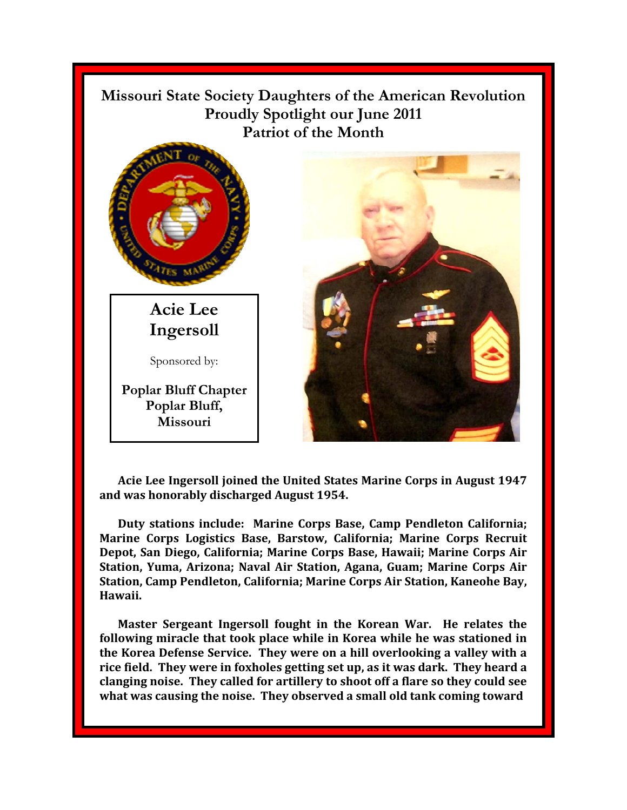

**Acie Lee Ingersoll joined the United States Marine Corps in August 1947 and was honorably discharged August 1954.** 

**Duty stations include: Marine Corps Base, Camp Pendleton California; Marine Corps Logistics Base, Barstow, California; Marine Corps Recruit Depot, San Diego, California; Marine Corps Base, Hawaii; Marine Corps Air Station, Yuma, Arizona; Naval Air Station, Agana, Guam; Marine Corps Air Station, Camp Pendleton, California; Marine Corps Air Station, Kaneohe Bay, Hawaii.** 

**Master Sergeant Ingersoll fought in the Korean War. He relates the following miracle that took place while in Korea while he was stationed in the Korea Defense Service. They were on a hill overlooking a valley with a rice field. They were in foxholes getting set up, as it was dark. They heard a clanging noise. They called for artillery to shoot off a flare so they could see what was causing the noise. They observed a small old tank coming toward**